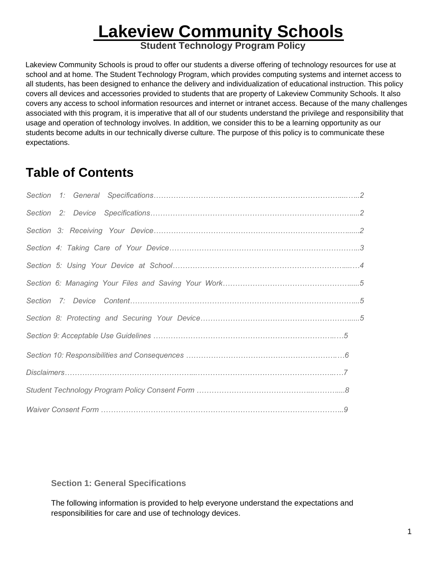# **Lakeview Community Schools**

**Student Technology Program Policy**

Lakeview Community Schools is proud to offer our students a diverse offering of technology resources for use at school and at home. The Student Technology Program, which provides computing systems and internet access to all students, has been designed to enhance the delivery and individualization of educational instruction. This policy covers all devices and accessories provided to students that are property of Lakeview Community Schools. It also covers any access to school information resources and internet or intranet access. Because of the many challenges associated with this program, it is imperative that all of our students understand the privilege and responsibility that usage and operation of technology involves. In addition, we consider this to be a learning opportunity as our students become adults in our technically diverse culture. The purpose of this policy is to communicate these expectations.

# **Table of Contents**

## **Section 1: General Specifications**

The following information is provided to help everyone understand the expectations and responsibilities for care and use of technology devices.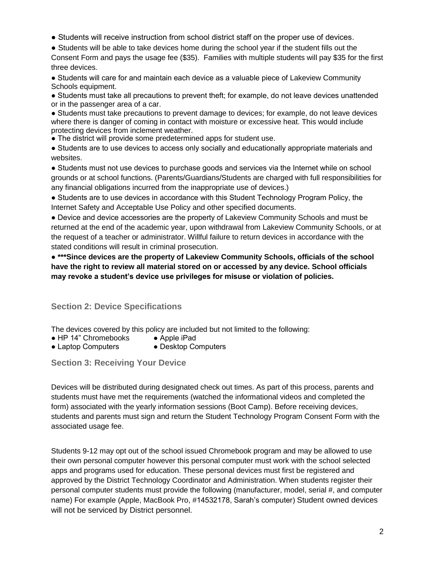- Students will receive instruction from school district staff on the proper use of devices.
- Students will be able to take devices home during the school year if the student fills out the

Consent Form and pays the usage fee (\$35). Families with multiple students will pay \$35 for the first three devices.

● Students will care for and maintain each device as a valuable piece of Lakeview Community Schools equipment.

● Students must take all precautions to prevent theft; for example, do not leave devices unattended or in the passenger area of a car.

● Students must take precautions to prevent damage to devices; for example, do not leave devices where there is danger of coming in contact with moisture or excessive heat. This would include protecting devices from inclement weather.

• The district will provide some predetermined apps for student use.

● Students are to use devices to access only socially and educationally appropriate materials and websites.

● Students must not use devices to purchase goods and services via the Internet while on school grounds or at school functions. (Parents/Guardians/Students are charged with full responsibilities for any financial obligations incurred from the inappropriate use of devices.)

● Students are to use devices in accordance with this Student Technology Program Policy, the Internet Safety and Acceptable Use Policy and other specified documents.

● Device and device accessories are the property of Lakeview Community Schools and must be returned at the end of the academic year, upon withdrawal from Lakeview Community Schools, or at the request of a teacher or administrator. Willful failure to return devices in accordance with the stated conditions will result in criminal prosecution.

● **\*\*\*Since devices are the property of Lakeview Community Schools, officials of the school have the right to review all material stored on or accessed by any device. School officials may revoke a student's device use privileges for misuse or violation of policies.** 

**Section 2: Device Specifications** 

The devices covered by this policy are included but not limited to the following:

- HP 14" Chromebooks Apple iPad
- Laptop Computers Desktop Computers
- 

**Section 3: Receiving Your Device** 

Devices will be distributed during designated check out times. As part of this process, parents and students must have met the requirements (watched the informational videos and completed the form) associated with the yearly information sessions (Boot Camp). Before receiving devices, students and parents must sign and return the Student Technology Program Consent Form with the associated usage fee.

Students 9-12 may opt out of the school issued Chromebook program and may be allowed to use their own personal computer however this personal computer must work with the school selected apps and programs used for education. These personal devices must first be registered and approved by the District Technology Coordinator and Administration. When students register their personal computer students must provide the following (manufacturer, model, serial #, and computer name) For example (Apple, MacBook Pro, #14532178, Sarah's computer) Student owned devices will not be serviced by District personnel.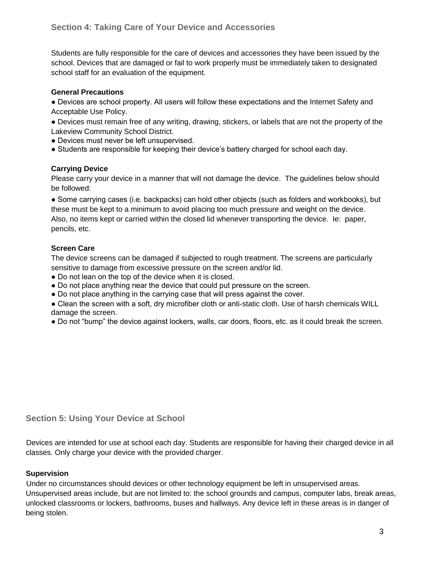Students are fully responsible for the care of devices and accessories they have been issued by the school. Devices that are damaged or fail to work properly must be immediately taken to designated school staff for an evaluation of the equipment.

#### **General Precautions**

● Devices are school property. All users will follow these expectations and the Internet Safety and Acceptable Use Policy.

• Devices must remain free of any writing, drawing, stickers, or labels that are not the property of the Lakeview Community School District.

- Devices must never be left unsupervised.
- Students are responsible for keeping their device's battery charged for school each day.

#### **Carrying Device**

Please carry your device in a manner that will not damage the device. The guidelines below should be followed:

● Some carrying cases (i.e. backpacks) can hold other objects (such as folders and workbooks), but these must be kept to a minimum to avoid placing too much pressure and weight on the device. Also, no items kept or carried within the closed lid whenever transporting the device. Ie: paper, pencils, etc.

#### **Screen Care**

The device screens can be damaged if subjected to rough treatment. The screens are particularly sensitive to damage from excessive pressure on the screen and/or lid.

- Do not lean on the top of the device when it is closed.
- Do not place anything near the device that could put pressure on the screen.
- Do not place anything in the carrying case that will press against the cover.

• Clean the screen with a soft, dry microfiber cloth or anti-static cloth. Use of harsh chemicals WILL damage the screen.

● Do not "bump" the device against lockers, walls, car doors, floors, etc. as it could break the screen.

#### **Section 5: Using Your Device at School**

Devices are intended for use at school each day. Students are responsible for having their charged device in all classes. Only charge your device with the provided charger.

#### **Supervision**

Under no circumstances should devices or other technology equipment be left in unsupervised areas. Unsupervised areas include, but are not limited to: the school grounds and campus, computer labs, break areas, unlocked classrooms or lockers, bathrooms, buses and hallways. Any device left in these areas is in danger of being stolen.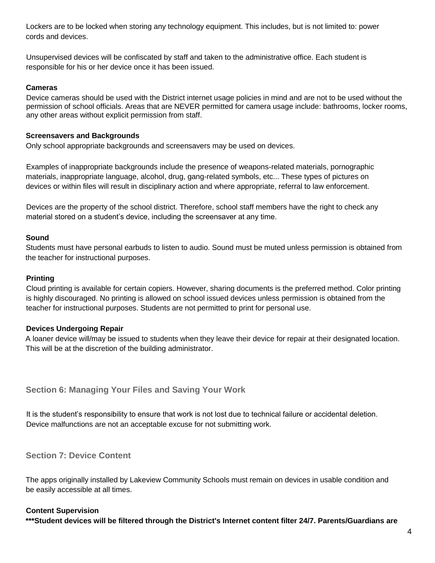Lockers are to be locked when storing any technology equipment. This includes, but is not limited to: power cords and devices.

Unsupervised devices will be confiscated by staff and taken to the administrative office. Each student is responsible for his or her device once it has been issued.

#### **Cameras**

Device cameras should be used with the District internet usage policies in mind and are not to be used without the permission of school officials. Areas that are NEVER permitted for camera usage include: bathrooms, locker rooms, any other areas without explicit permission from staff.

#### **Screensavers and Backgrounds**

Only school appropriate backgrounds and screensavers may be used on devices.

Examples of inappropriate backgrounds include the presence of weapons-related materials, pornographic materials, inappropriate language, alcohol, drug, gang-related symbols, etc... These types of pictures on devices or within files will result in disciplinary action and where appropriate, referral to law enforcement.

Devices are the property of the school district. Therefore, school staff members have the right to check any material stored on a student's device, including the screensaver at any time.

#### **Sound**

Students must have personal earbuds to listen to audio. Sound must be muted unless permission is obtained from the teacher for instructional purposes.

#### **Printing**

Cloud printing is available for certain copiers. However, sharing documents is the preferred method. Color printing is highly discouraged. No printing is allowed on school issued devices unless permission is obtained from the teacher for instructional purposes. Students are not permitted to print for personal use.

#### **Devices Undergoing Repair**

A loaner device will/may be issued to students when they leave their device for repair at their designated location. This will be at the discretion of the building administrator.

#### **Section 6: Managing Your Files and Saving Your Work**

It is the student's responsibility to ensure that work is not lost due to technical failure or accidental deletion. Device malfunctions are not an acceptable excuse for not submitting work.

**Section 7: Device Content** 

The apps originally installed by Lakeview Community Schools must remain on devices in usable condition and be easily accessible at all times.

#### **Content Supervision**

**\*\*\*Student devices will be filtered through the District's Internet content filter 24/7. Parents/Guardians are**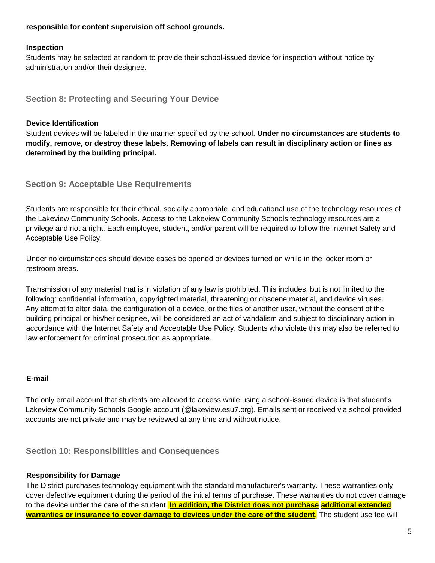#### **responsible for content supervision off school grounds.**

#### **Inspection**

Students may be selected at random to provide their school-issued device for inspection without notice by administration and/or their designee.

**Section 8: Protecting and Securing Your Device** 

#### **Device Identification**

Student devices will be labeled in the manner specified by the school. **Under no circumstances are students to modify, remove, or destroy these labels. Removing of labels can result in disciplinary action or fines as determined by the building principal.**

**Section 9: Acceptable Use Requirements** 

Students are responsible for their ethical, socially appropriate, and educational use of the technology resources of the Lakeview Community Schools. Access to the Lakeview Community Schools technology resources are a privilege and not a right. Each employee, student, and/or parent will be required to follow the Internet Safety and Acceptable Use Policy.

Under no circumstances should device cases be opened or devices turned on while in the locker room or restroom areas.

Transmission of any material that is in violation of any law is prohibited. This includes, but is not limited to the following: confidential information, copyrighted material, threatening or obscene material, and device viruses. Any attempt to alter data, the configuration of a device, or the files of another user, without the consent of the building principal or his/her designee, will be considered an act of vandalism and subject to disciplinary action in accordance with the Internet Safety and Acceptable Use Policy. Students who violate this may also be referred to law enforcement for criminal prosecution as appropriate.

#### **E-mail**

The only email account that students are allowed to access while using a school-issued device is that student's Lakeview Community Schools Google account (@lakeview.esu7.org). Emails sent or received via school provided accounts are not private and may be reviewed at any time and without notice.

**Section 10: Responsibilities and Consequences** 

#### **Responsibility for Damage**

The District purchases technology equipment with the standard manufacturer's warranty. These warranties only cover defective equipment during the period of the initial terms of purchase. These warranties do not cover damage to the device under the care of the student. **In addition, the District does not purchase additional extended warranties or insurance to cover damage to devices under the care of the student**. The student use fee will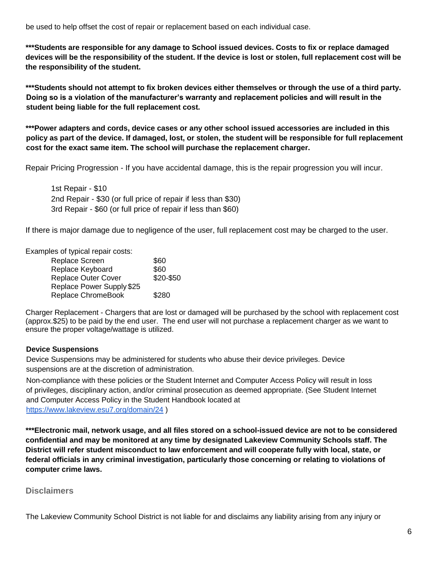be used to help offset the cost of repair or replacement based on each individual case.

**\*\*\*Students are responsible for any damage to School issued devices. Costs to fix or replace damaged devices will be the responsibility of the student. If the device is lost or stolen, full replacement cost will be the responsibility of the student.** 

**\*\*\*Students should not attempt to fix broken devices either themselves or through the use of a third party. Doing so is a violation of the manufacturer's warranty and replacement policies and will result in the student being liable for the full replacement cost.** 

**\*\*\*Power adapters and cords, device cases or any other school issued accessories are included in this policy as part of the device. If damaged, lost, or stolen, the student will be responsible for full replacement cost for the exact same item. The school will purchase the replacement charger.**

Repair Pricing Progression - If you have accidental damage, this is the repair progression you will incur.

1st Repair - \$10 2nd Repair - \$30 (or full price of repair if less than \$30) 3rd Repair - \$60 (or full price of repair if less than \$60)

If there is major damage due to negligence of the user, full replacement cost may be charged to the user.

Examples of typical repair costs:

| Replace Screen            | \$60      |
|---------------------------|-----------|
| Replace Keyboard          | \$60      |
| Replace Outer Cover       | \$20-\$50 |
| Replace Power Supply \$25 |           |
| Replace ChromeBook        | \$280     |

Charger Replacement - Chargers that are lost or damaged will be purchased by the school with replacement cost (approx.\$25) to be paid by the end user. The end user will not purchase a replacement charger as we want to ensure the proper voltage/wattage is utilized.

#### **Device Suspensions**

Device Suspensions may be administered for students who abuse their device privileges. Device suspensions are at the discretion of administration.

Non-compliance with these policies or the Student Internet and Computer Access Policy will result in loss of privileges, disciplinary action, and/or criminal prosecution as deemed appropriate. (See Student Internet and Computer Access Policy in the Student Handbook located at <https://www.lakeview.esu7.org/domain/24> )

**\*\*\*Electronic mail, network usage, and all files stored on a school-issued device are not to be considered confidential and may be monitored at any time by designated Lakeview Community Schools staff. The District will refer student misconduct to law enforcement and will cooperate fully with local, state, or federal officials in any criminal investigation, particularly those concerning or relating to violations of computer crime laws.** 

#### **Disclaimers**

The Lakeview Community School District is not liable for and disclaims any liability arising from any injury or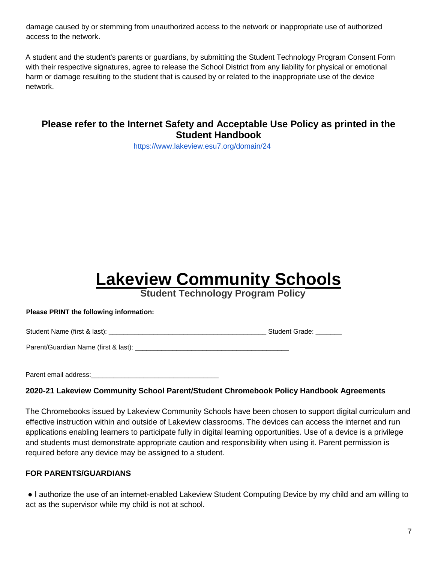damage caused by or stemming from unauthorized access to the network or inappropriate use of authorized access to the network.

A student and the student's parents or guardians, by submitting the Student Technology Program Consent Form with their respective signatures, agree to release the School District from any liability for physical or emotional harm or damage resulting to the student that is caused by or related to the inappropriate use of the device network.

# **Please refer to the Internet Safety and Acceptable Use Policy as printed in the Student Handbook**

<https://www.lakeview.esu7.org/domain/24>

# **Lakeview Community Schools**

**Student Technology Program Policy**

#### **Please PRINT the following information:**

Student Name (first & last): \_\_\_\_\_\_\_\_\_\_\_\_\_\_\_\_\_\_\_\_\_\_\_\_\_\_\_\_\_\_\_\_\_\_\_\_\_\_\_\_\_\_ Student Grade: \_\_\_\_\_\_\_

Parent/Guardian Name (first & last): \_\_\_\_\_\_\_\_\_\_\_\_\_\_\_\_\_\_\_\_\_\_\_\_\_\_\_\_\_\_\_\_\_\_\_\_\_\_\_\_\_

Parent email address: **Example 20** 

#### **2020-21 Lakeview Community School Parent/Student Chromebook Policy Handbook Agreements**

The Chromebooks issued by Lakeview Community Schools have been chosen to support digital curriculum and effective instruction within and outside of Lakeview classrooms. The devices can access the internet and run applications enabling learners to participate fully in digital learning opportunities. Use of a device is a privilege and students must demonstrate appropriate caution and responsibility when using it. Parent permission is required before any device may be assigned to a student.

#### **FOR PARENTS/GUARDIANS**

● I authorize the use of an internet-enabled Lakeview Student Computing Device by my child and am willing to act as the supervisor while my child is not at school.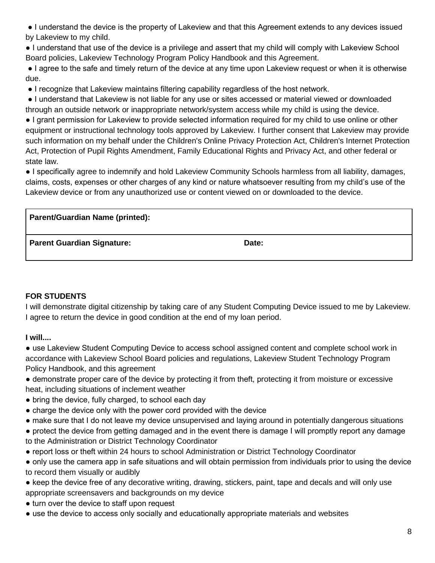● I understand the device is the property of Lakeview and that this Agreement extends to any devices issued by Lakeview to my child.

● I understand that use of the device is a privilege and assert that my child will comply with Lakeview School Board policies, Lakeview Technology Program Policy Handbook and this Agreement.

● I agree to the safe and timely return of the device at any time upon Lakeview request or when it is otherwise due.

● I recognize that Lakeview maintains filtering capability regardless of the host network.

● I understand that Lakeview is not liable for any use or sites accessed or material viewed or downloaded through an outside network or inappropriate network/system access while my child is using the device.

● I grant permission for Lakeview to provide selected information required for my child to use online or other equipment or instructional technology tools approved by Lakeview. I further consent that Lakeview may provide such information on my behalf under the Children's Online Privacy Protection Act, Children's Internet Protection Act, Protection of Pupil Rights Amendment, Family Educational Rights and Privacy Act, and other federal or state law.

● I specifically agree to indemnify and hold Lakeview Community Schools harmless from all liability, damages, claims, costs, expenses or other charges of any kind or nature whatsoever resulting from my child's use of the Lakeview device or from any unauthorized use or content viewed on or downloaded to the device.

**Parent/Guardian Name (printed): Parent Guardian Signature:** Date: Date:

## **FOR STUDENTS**

I will demonstrate digital citizenship by taking care of any Student Computing Device issued to me by Lakeview. I agree to return the device in good condition at the end of my loan period.

**I will....** 

● use Lakeview Student Computing Device to access school assigned content and complete school work in accordance with Lakeview School Board policies and regulations, Lakeview Student Technology Program Policy Handbook, and this agreement

- demonstrate proper care of the device by protecting it from theft, protecting it from moisture or excessive heat, including situations of inclement weather
- bring the device, fully charged, to school each day
- charge the device only with the power cord provided with the device
- make sure that I do not leave my device unsupervised and laying around in potentially dangerous situations
- protect the device from getting damaged and in the event there is damage I will promptly report any damage to the Administration or District Technology Coordinator
- report loss or theft within 24 hours to school Administration or District Technology Coordinator
- only use the camera app in safe situations and will obtain permission from individuals prior to using the device to record them visually or audibly
- keep the device free of any decorative writing, drawing, stickers, paint, tape and decals and will only use appropriate screensavers and backgrounds on my device
- turn over the device to staff upon request
- use the device to access only socially and educationally appropriate materials and websites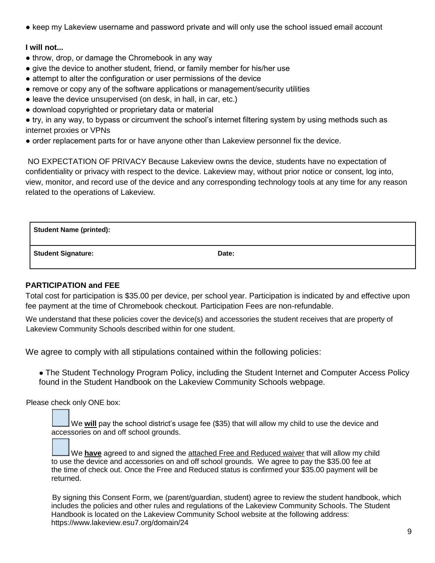● keep my Lakeview username and password private and will only use the school issued email account

### **I will not...**

- throw, drop, or damage the Chromebook in any way
- give the device to another student, friend, or family member for his/her use
- attempt to alter the configuration or user permissions of the device
- remove or copy any of the software applications or management/security utilities
- leave the device unsupervised (on desk, in hall, in car, etc.)
- download copyrighted or proprietary data or material

● try, in any way, to bypass or circumvent the school's internet filtering system by using methods such as internet proxies or VPNs

● order replacement parts for or have anyone other than Lakeview personnel fix the device.

NO EXPECTATION OF PRIVACY Because Lakeview owns the device, students have no expectation of confidentiality or privacy with respect to the device. Lakeview may, without prior notice or consent, log into, view, monitor, and record use of the device and any corresponding technology tools at any time for any reason related to the operations of Lakeview.

| <b>Student Name (printed):</b> |       |
|--------------------------------|-------|
| <b>Student Signature:</b>      | Date: |

### **PARTICIPATION and FEE**

Total cost for participation is \$35.00 per device, per school year. Participation is indicated by and effective upon fee payment at the time of Chromebook checkout. Participation Fees are non-refundable.

We understand that these policies cover the device(s) and accessories the student receives that are property of Lakeview Community Schools described within for one student.

We agree to comply with all stipulations contained within the following policies:

● The Student Technology Program Policy, including the Student Internet and Computer Access Policy found in the Student Handbook on the Lakeview Community Schools webpage.

Please check only ONE box:

We **will** pay the school district's usage fee (\$35) that will allow my child to use the device and accessories on and off school grounds.

We **have** agreed to and signed the attached Free and Reduced waiver that will allow my child to use the device and accessories on and off school grounds. We agree to pay the \$35.00 fee at the time of check out. Once the Free and Reduced status is confirmed your \$35.00 payment will be returned.

By signing this Consent Form, we (parent/guardian, student) agree to review the student handbook, which includes the policies and other rules and regulations of the Lakeview Community Schools. The Student Handbook is located on the Lakeview Community School website at the following address: https://www.lakeview.esu7.org/domain/24